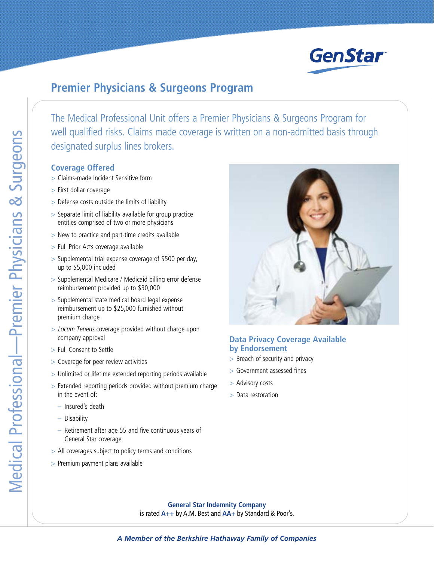

## **Premier Physicians & Surgeons Program**

The Medical Professional Unit offers a Premier Physicians & Surgeons Program for well qualified risks. Claims made coverage is written on a non-admitted basis through designated surplus lines brokers.

## **Coverage Offered**

- > Claims-made Incident Sensitive form
- > First dollar coverage
- > Defense costs outside the limits of liability
- > Separate limit of liability available for group practice entities comprised of two or more physicians
- > New to practice and part-time credits available
- > Full Prior Acts coverage available
- > Supplemental trial expense coverage of \$500 per day, up to \$5,000 included
- > Supplemental Medicare / Medicaid billing error defense reimbursement provided up to \$30,000
- > Supplemental state medical board legal expense reimbursement up to \$25,000 furnished without premium charge
- > Locum Tenens coverage provided without charge upon company approval
- > Full Consent to Settle
- > Coverage for peer review activities
- > Unlimited or lifetime extended reporting periods available
- > Extended reporting periods provided without premium charge in the event of:
	- Insured's death
	- Disability
	- Retirement after age 55 and five continuous years of General Star coverage
- > All coverages subject to policy terms and conditions
- > Premium payment plans available



## **Data Privacy Coverage Available by Endorsement**

- > Breach of security and privacy
- > Government assessed fines
- > Advisory costs
- > Data restoration

**General Star Indemnity Company** is rated **A++** by A.M. Best and **AA+** by Standard & Poor's.